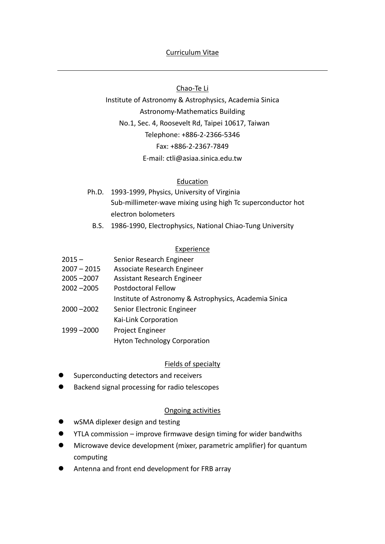# Chao-Te Li

Institute of Astronomy & Astrophysics, Academia Sinica Astronomy-Mathematics Building No.1, Sec. 4, Roosevelt Rd, Taipei 10617, Taiwan Telephone: +886-2-2366-5346 Fax: +886-2-2367-7849 E-mail: ctli@asiaa.sinica.edu.tw

# Education

- Ph.D. 1993-1999, Physics, University of Virginia Sub-millimeter-wave mixing using high Tc superconductor hot electron bolometers
	- B.S. 1986-1990, Electrophysics, National Chiao-Tung University

# **Experience**

- $2015 -$ Senior Research Engineer
- 2007 2015 Associate Research Engineer
- 2005 –2007 Assistant Research Engineer
- 2002 –2005 Postdoctoral Fellow

Institute of Astronomy & Astrophysics, Academia Sinica

2000 –2002 Senior Electronic Engineer

Kai-Link Corporation

- 1999 –2000 Project Engineer
	- Hyton Technology Corporation

# Fields of specialty

- ⚫ Superconducting detectors and receivers
- ⚫ Backend signal processing for radio telescopes

# Ongoing activities

- wSMA diplexer design and testing
- ⚫ YTLA commission improve firmwave design timing for wider bandwiths
- ⚫ Microwave device development (mixer, parametric amplifier) for quantum computing
- ⚫ Antenna and front end development for FRB array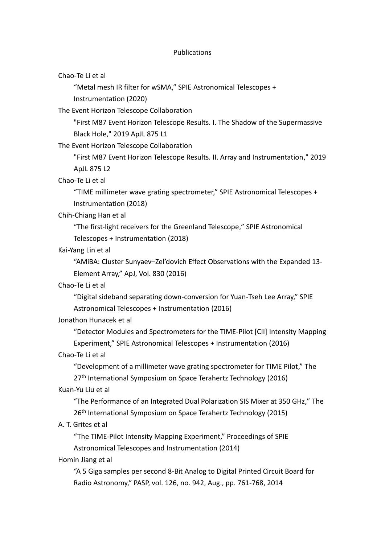### **Publications**

Chao-Te Li et al

"Metal mesh IR filter for wSMA," SPIE Astronomical Telescopes + Instrumentation (2020)

The Event Horizon Telescope Collaboration

"First M87 Event Horizon Telescope Results. I. The Shadow of the Supermassive Black Hole," 2019 ApJL 875 L1

The Event Horizon Telescope Collaboration

"First M87 Event Horizon Telescope Results. II. Array and Instrumentation," 2019 ApJL 875 L2

Chao-Te Li et al

"TIME millimeter wave grating spectrometer," SPIE Astronomical Telescopes + Instrumentation (2018)

#### Chih-Chiang Han et al

"The first-light receivers for the Greenland Telescope," SPIE Astronomical Telescopes + Instrumentation (2018)

## Kai-Yang Lin et al

"AMiBA: Cluster Sunyaev–Zel'dovich Effect Observations with the Expanded 13- Element Array," ApJ, Vol. 830 (2016)

## Chao-Te Li et al

"Digital sideband separating down-conversion for Yuan-Tseh Lee Array," SPIE Astronomical Telescopes + Instrumentation (2016)

#### Jonathon Hunacek et al

"Detector Modules and Spectrometers for the TIME-Pilot [CII] Intensity Mapping Experiment," SPIE Astronomical Telescopes + Instrumentation (2016)

#### Chao-Te Li et al

"Development of a millimeter wave grating spectrometer for TIME Pilot," The

27<sup>th</sup> International Symposium on Space Terahertz Technology (2016)

#### Kuan-Yu Liu et al

"The Performance of an Integrated Dual Polarization SIS Mixer at 350 GHz," The 26<sup>th</sup> International Symposium on Space Terahertz Technology (2015)

## A. T. Grites et al

"The TIME-Pilot Intensity Mapping Experiment," Proceedings of SPIE Astronomical Telescopes and Instrumentation (2014)

#### Homin Jiang et al

"A 5 Giga samples per second 8-Bit Analog to Digital Printed Circuit Board for Radio Astronomy," PASP, vol. 126, no. 942, Aug., pp. 761-768, 2014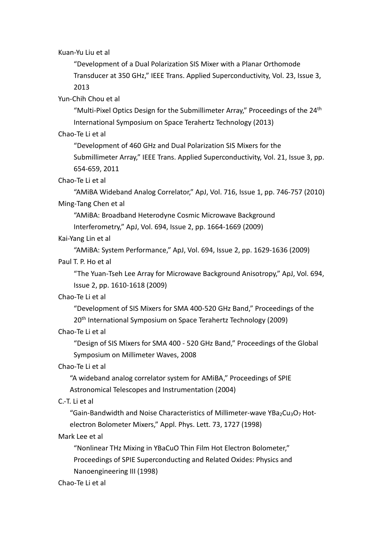Kuan-Yu Liu et al

"Development of a Dual Polarization SIS Mixer with a Planar Orthomode Transducer at 350 GHz," IEEE Trans. Applied Superconductivity, Vol. 23, Issue 3, 2013

Yun-Chih Chou et al

"Multi-Pixel Optics Design for the Submillimeter Array," Proceedings of the  $24<sup>th</sup>$ International Symposium on Space Terahertz Technology (2013)

Chao-Te Li et al

"Development of 460 GHz and Dual Polarization SIS Mixers for the

Submillimeter Array," IEEE Trans. Applied Superconductivity, Vol. 21, Issue 3, pp. 654-659, 2011

Chao-Te Li et al

"AMiBA Wideband Analog Correlator," ApJ, Vol. 716, Issue 1, pp. 746-757 (2010) Ming-Tang Chen et al

"AMiBA: Broadband Heterodyne Cosmic Microwave Background

Interferometry," ApJ, Vol. 694, Issue 2, pp. 1664-1669 (2009)

Kai-Yang Lin et al

"AMiBA: System Performance," ApJ, Vol. 694, Issue 2, pp. 1629-1636 (2009)

# Paul T. P. Ho et al

"The Yuan-Tseh Lee Array for Microwave Background Anisotropy," ApJ, Vol. 694, Issue 2, pp. 1610-1618 (2009)

## Chao-Te Li et al

"Development of SIS Mixers for SMA 400-520 GHz Band," Proceedings of the 20<sup>th</sup> International Symposium on Space Terahertz Technology (2009)

Chao-Te Li et al

"Design of SIS Mixers for SMA 400 - 520 GHz Band," Proceedings of the Global Symposium on Millimeter Waves, 2008

## Chao-Te Li et al

"A wideband analog correlator system for AMiBA," Proceedings of SPIE Astronomical Telescopes and Instrumentation (2004)

C.-T. Li et al

"Gain-Bandwidth and Noise Characteristics of Millimeter-wave YBa2Cu3O7 Hotelectron Bolometer Mixers," Appl. Phys. Lett. 73, 1727 (1998)

## Mark Lee et al

"Nonlinear THz Mixing in YBaCuO Thin Film Hot Electron Bolometer," Proceedings of SPIE Superconducting and Related Oxides: Physics and Nanoengineering III (1998)

Chao-Te Li et al